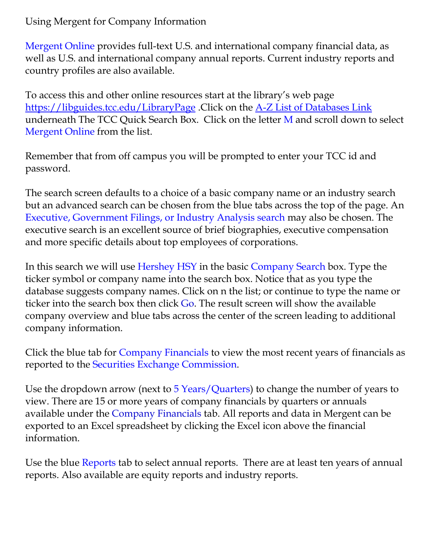Using Mergent for Company Information

Mergent Online provides full-text U.S. and international company financial data, as well as U.S. and international company annual reports. Current industry reports and country profiles are also available.

To access this and other online resources start at the library's web page <https://libguides.tcc.edu/LibraryPage> .Click on the [A-Z List of Databases Link](https://libguides.tcc.edu/az.php) underneath The TCC Quick Search Box. Click on the letter M and scroll down to select Mergent Online from the list.

Remember that from off campus you will be prompted to enter your TCC id and password.

The search screen defaults to a choice of a basic company name or an industry search but an advanced search can be chosen from the blue tabs across the top of the page. An Executive, Government Filings, or Industry Analysis search may also be chosen. The executive search is an excellent source of brief biographies, executive compensation and more specific details about top employees of corporations.

In this search we will use Hershey HSY in the basic Company Search box. Type the ticker symbol or company name into the search box. Notice that as you type the database suggests company names. Click on n the list; or continue to type the name or ticker into the search box then click Go. The result screen will show the available company overview and blue tabs across the center of the screen leading to additional company information.

Click the blue tab for Company Financials to view the most recent years of financials as reported to the Securities Exchange Commission.

Use the dropdown arrow (next to 5 Years/Quarters) to change the number of years to view. There are 15 or more years of company financials by quarters or annuals available under the Company Financials tab. All reports and data in Mergent can be exported to an Excel spreadsheet by clicking the Excel icon above the financial information.

Use the blue Reports tab to select annual reports. There are at least ten years of annual reports. Also available are equity reports and industry reports.